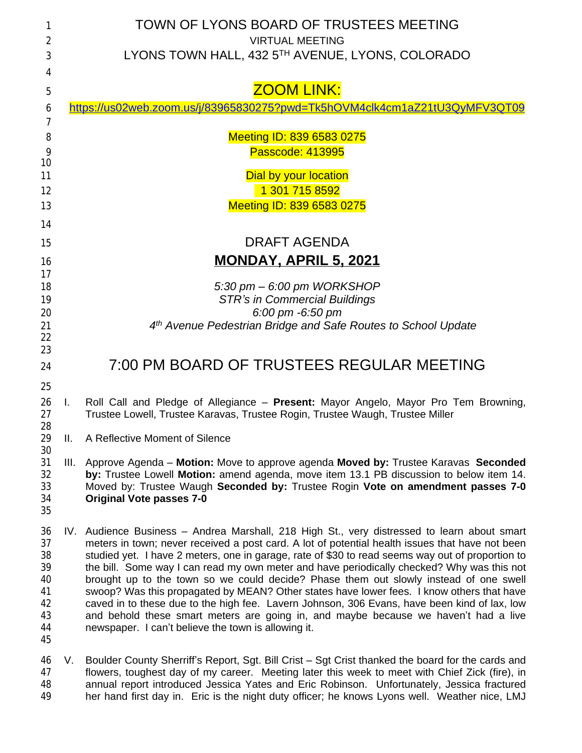| 1                                                        | TOWN OF LYONS BOARD OF TRUSTEES MEETING       |                                                                                                                                                                                                                                                                                                                                                                                                                                                                                                                                                                                                                                                                                                                                                                                                                                      |  |  |
|----------------------------------------------------------|-----------------------------------------------|--------------------------------------------------------------------------------------------------------------------------------------------------------------------------------------------------------------------------------------------------------------------------------------------------------------------------------------------------------------------------------------------------------------------------------------------------------------------------------------------------------------------------------------------------------------------------------------------------------------------------------------------------------------------------------------------------------------------------------------------------------------------------------------------------------------------------------------|--|--|
| $\overline{2}$                                           |                                               | <b>VIRTUAL MEETING</b>                                                                                                                                                                                                                                                                                                                                                                                                                                                                                                                                                                                                                                                                                                                                                                                                               |  |  |
| 3                                                        |                                               | LYONS TOWN HALL, 432 5TH AVENUE, LYONS, COLORADO                                                                                                                                                                                                                                                                                                                                                                                                                                                                                                                                                                                                                                                                                                                                                                                     |  |  |
| 4                                                        |                                               |                                                                                                                                                                                                                                                                                                                                                                                                                                                                                                                                                                                                                                                                                                                                                                                                                                      |  |  |
| 5                                                        |                                               | <b>ZOOM LINK:</b>                                                                                                                                                                                                                                                                                                                                                                                                                                                                                                                                                                                                                                                                                                                                                                                                                    |  |  |
| 6                                                        |                                               | https://us02web.zoom.us/j/83965830275?pwd=Tk5hOVM4clk4cm1aZ21tU3QyMFV3QT09                                                                                                                                                                                                                                                                                                                                                                                                                                                                                                                                                                                                                                                                                                                                                           |  |  |
| 7                                                        |                                               |                                                                                                                                                                                                                                                                                                                                                                                                                                                                                                                                                                                                                                                                                                                                                                                                                                      |  |  |
| 8<br>9                                                   | Meeting ID: 839 6583 0275<br>Passcode: 413995 |                                                                                                                                                                                                                                                                                                                                                                                                                                                                                                                                                                                                                                                                                                                                                                                                                                      |  |  |
| 10                                                       |                                               |                                                                                                                                                                                                                                                                                                                                                                                                                                                                                                                                                                                                                                                                                                                                                                                                                                      |  |  |
| 11                                                       |                                               | <b>Dial by your location</b>                                                                                                                                                                                                                                                                                                                                                                                                                                                                                                                                                                                                                                                                                                                                                                                                         |  |  |
| 12                                                       | 1 301 715 8592                                |                                                                                                                                                                                                                                                                                                                                                                                                                                                                                                                                                                                                                                                                                                                                                                                                                                      |  |  |
| 13                                                       |                                               | Meeting ID: 839 6583 0275                                                                                                                                                                                                                                                                                                                                                                                                                                                                                                                                                                                                                                                                                                                                                                                                            |  |  |
| 14                                                       |                                               |                                                                                                                                                                                                                                                                                                                                                                                                                                                                                                                                                                                                                                                                                                                                                                                                                                      |  |  |
| 15                                                       | <b>DRAFT AGENDA</b>                           |                                                                                                                                                                                                                                                                                                                                                                                                                                                                                                                                                                                                                                                                                                                                                                                                                                      |  |  |
| 16                                                       | <u>MONDAY, APRIL 5, 2021</u>                  |                                                                                                                                                                                                                                                                                                                                                                                                                                                                                                                                                                                                                                                                                                                                                                                                                                      |  |  |
| 17                                                       |                                               |                                                                                                                                                                                                                                                                                                                                                                                                                                                                                                                                                                                                                                                                                                                                                                                                                                      |  |  |
| 18                                                       | $5:30$ pm $-6:00$ pm WORKSHOP                 |                                                                                                                                                                                                                                                                                                                                                                                                                                                                                                                                                                                                                                                                                                                                                                                                                                      |  |  |
| 19                                                       |                                               | <b>STR's in Commercial Buildings</b>                                                                                                                                                                                                                                                                                                                                                                                                                                                                                                                                                                                                                                                                                                                                                                                                 |  |  |
| 20                                                       |                                               | 6:00 pm -6:50 pm                                                                                                                                                                                                                                                                                                                                                                                                                                                                                                                                                                                                                                                                                                                                                                                                                     |  |  |
| 21<br>22                                                 |                                               | 4th Avenue Pedestrian Bridge and Safe Routes to School Update                                                                                                                                                                                                                                                                                                                                                                                                                                                                                                                                                                                                                                                                                                                                                                        |  |  |
| 23                                                       |                                               |                                                                                                                                                                                                                                                                                                                                                                                                                                                                                                                                                                                                                                                                                                                                                                                                                                      |  |  |
| 24                                                       | 7:00 PM BOARD OF TRUSTEES REGULAR MEETING     |                                                                                                                                                                                                                                                                                                                                                                                                                                                                                                                                                                                                                                                                                                                                                                                                                                      |  |  |
| 25                                                       |                                               |                                                                                                                                                                                                                                                                                                                                                                                                                                                                                                                                                                                                                                                                                                                                                                                                                                      |  |  |
| 26<br>27<br>28                                           | Π.                                            | Roll Call and Pledge of Allegiance - Present: Mayor Angelo, Mayor Pro Tem Browning,<br>Trustee Lowell, Trustee Karavas, Trustee Rogin, Trustee Waugh, Trustee Miller                                                                                                                                                                                                                                                                                                                                                                                                                                                                                                                                                                                                                                                                 |  |  |
| 29<br>30                                                 | Ш.                                            | A Reflective Moment of Silence                                                                                                                                                                                                                                                                                                                                                                                                                                                                                                                                                                                                                                                                                                                                                                                                       |  |  |
| 31<br>32<br>33<br>34<br>35                               | Ш.                                            | Approve Agenda - Motion: Move to approve agenda Moved by: Trustee Karavas Seconded<br>by: Trustee Lowell Motion: amend agenda, move item 13.1 PB discussion to below item 14.<br>Moved by: Trustee Waugh Seconded by: Trustee Rogin Vote on amendment passes 7-0<br><b>Original Vote passes 7-0</b>                                                                                                                                                                                                                                                                                                                                                                                                                                                                                                                                  |  |  |
| 36<br>37<br>38<br>39<br>40<br>41<br>42<br>43<br>44<br>45 |                                               | IV. Audience Business – Andrea Marshall, 218 High St., very distressed to learn about smart<br>meters in town; never received a post card. A lot of potential health issues that have not been<br>studied yet. I have 2 meters, one in garage, rate of \$30 to read seems way out of proportion to<br>the bill. Some way I can read my own meter and have periodically checked? Why was this not<br>brought up to the town so we could decide? Phase them out slowly instead of one swell<br>swoop? Was this propagated by MEAN? Other states have lower fees. I know others that have<br>caved in to these due to the high fee. Lavern Johnson, 306 Evans, have been kind of lax, low<br>and behold these smart meters are going in, and maybe because we haven't had a live<br>newspaper. I can't believe the town is allowing it. |  |  |
|                                                          |                                               |                                                                                                                                                                                                                                                                                                                                                                                                                                                                                                                                                                                                                                                                                                                                                                                                                                      |  |  |

 V. Boulder County Sherriff's Report, Sgt. Bill Crist – Sgt Crist thanked the board for the cards and flowers, toughest day of my career. Meeting later this week to meet with Chief Zick (fire), in annual report introduced Jessica Yates and Eric Robinson. Unfortunately, Jessica fractured her hand first day in. Eric is the night duty officer; he knows Lyons well. Weather nice, LMJ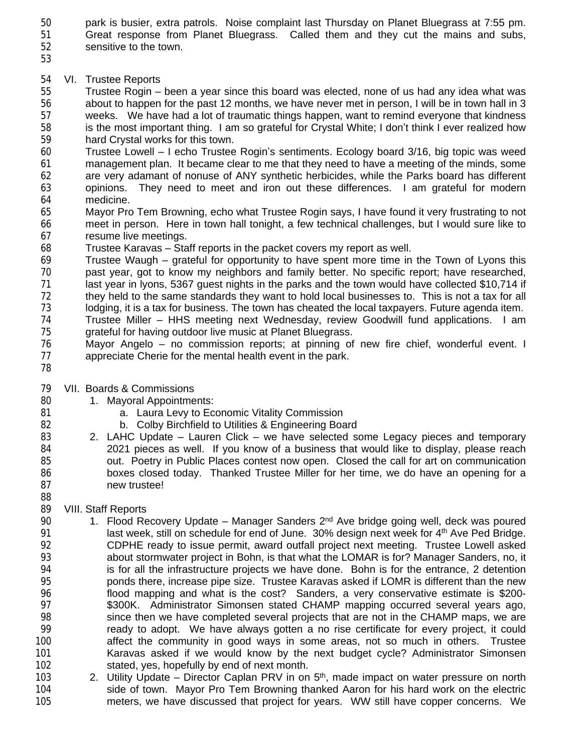park is busier, extra patrols. Noise complaint last Thursday on Planet Bluegrass at 7:55 pm. Great response from Planet Bluegrass. Called them and they cut the mains and subs,

sensitive to the town.

## VI. Trustee Reports

 Trustee Rogin – been a year since this board was elected, none of us had any idea what was 56 about to happen for the past 12 months, we have never met in person, I will be in town hall in 3<br>57 weeks. We have had a lot of traumatic things happen, want to remind everyone that kindness weeks. We have had a lot of traumatic things happen, want to remind everyone that kindness<br>58 is the most important thing. I am so grateful for Crystal White: I don't think I ever realized how is the most important thing. I am so grateful for Crystal White; I don't think I ever realized how hard Crystal works for this town.

 Trustee Lowell – I echo Trustee Rogin's sentiments. Ecology board 3/16, big topic was weed management plan. It became clear to me that they need to have a meeting of the minds, some are very adamant of nonuse of ANY synthetic herbicides, while the Parks board has different opinions. They need to meet and iron out these differences. I am grateful for modern medicine.

 Mayor Pro Tem Browning, echo what Trustee Rogin says, I have found it very frustrating to not meet in person. Here in town hall tonight, a few technical challenges, but I would sure like to resume live meetings.

Trustee Karavas – Staff reports in the packet covers my report as well.

 Trustee Waugh – grateful for opportunity to have spent more time in the Town of Lyons this past year, got to know my neighbors and family better. No specific report; have researched, 71 last year in Iyons, 5367 guest nights in the parks and the town would have collected \$10,714 if<br>72 they held to the same standards they want to hold local businesses to. This is not a tax for all they held to the same standards they want to hold local businesses to. This is not a tax for all lodging, it is a tax for business. The town has cheated the local taxpayers. Future agenda item.

- Trustee Miller HHS meeting next Wednesday, review Goodwill fund applications. I am grateful for having outdoor live music at Planet Bluegrass.
- 76 Mayor Angelo no commission reports; at pinning of new fire chief, wonderful event. I<br>77 appreciate Cherie for the mental health event in the park. appreciate Cherie for the mental health event in the park.
- 

VII. Boards & Commissions

- 80 1. Mayoral Appointments:
- **81 a.** Laura Levy to Economic Vitality Commission
- b. Colby Birchfield to Utilities & Engineering Board
- 2. LAHC Update Lauren Click we have selected some Legacy pieces and temporary 2021 pieces as well. If you know of a business that would like to display, please reach out. Poetry in Public Places contest now open. Closed the call for art on communication boxes closed today. Thanked Trustee Miller for her time, we do have an opening for a new trustee!

## VIII. Staff Reports

- 90 1. Flood Recovery Update Manager Sanders 2<sup>nd</sup> Ave bridge going well, deck was poured 91 last week, still on schedule for end of June. 30% design next week for 4<sup>th</sup> Ave Ped Bridge. CDPHE ready to issue permit, award outfall project next meeting. Trustee Lowell asked about stormwater project in Bohn, is that what the LOMAR is for? Manager Sanders, no, it 94 is for all the infrastructure projects we have done. Bohn is for the entrance, 2 detention<br>95 ponds there, increase pipe size. Trustee Karavas asked if LOMR is different than the new ponds there, increase pipe size. Trustee Karavas asked if LOMR is different than the new flood mapping and what is the cost? Sanders, a very conservative estimate is \$200- \$300K. Administrator Simonsen stated CHAMP mapping occurred several years ago, since then we have completed several projects that are not in the CHAMP maps, we are ready to adopt. We have always gotten a no rise certificate for every project, it could 100 100 affect the community in good ways in some areas, not so much in others. Trustee<br>101 101 Karavas asked if we would know by the next budget cycle? Administrator Simonsen Karavas asked if we would know by the next budget cycle? Administrator Simonsen stated, yes, hopefully by end of next month.
- 103 2. Utility Update Director Caplan PRV in on 5<sup>th</sup>, made impact on water pressure on north side of town. Mayor Pro Tem Browning thanked Aaron for his hard work on the electric meters, we have discussed that project for years. WW still have copper concerns. We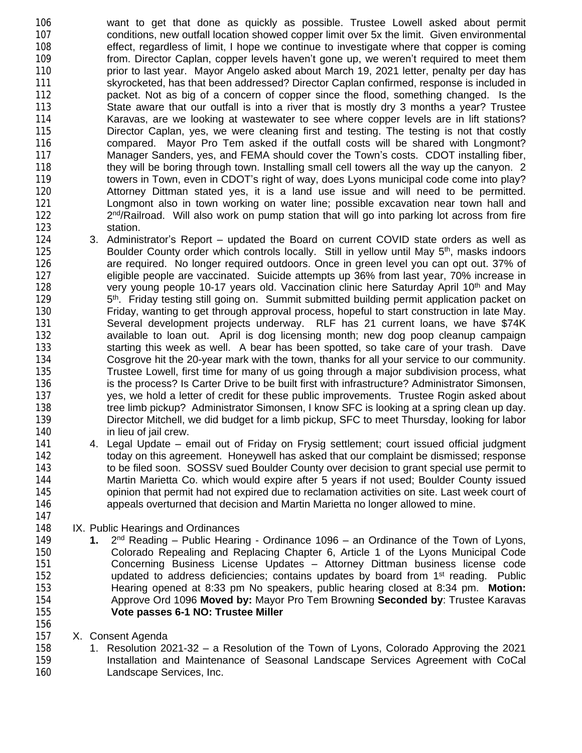106 want to get that done as quickly as possible. Trustee Lowell asked about permit 107 conditions, new outfall location showed copper limit over 5x the limit. Given environmental 108 effect, regardless of limit, I hope we continue to investigate where that copper is coming 109 from. Director Caplan, copper levels haven't gone up, we weren't required to meet them 110 **prior to last year.** Mayor Angelo asked about March 19, 2021 letter, penalty per day has 111 skyrocketed, has that been addressed? Director Caplan confirmed, response is included in<br>112 secket. Not as big of a concern of copper since the flood, something changed. Is the 112 packet. Not as big of a concern of copper since the flood, something changed. Is the<br>113 State aware that our outfall is into a river that is mostly dry 3 months a year? Trustee State aware that our outfall is into a river that is mostly dry 3 months a year? Trustee 114 Karavas, are we looking at wastewater to see where copper levels are in lift stations? 115 Director Caplan, yes, we were cleaning first and testing. The testing is not that costly 116 compared. Mayor Pro Tem asked if the outfall costs will be shared with Longmont? 117 Manager Sanders, yes, and FEMA should cover the Town's costs. CDOT installing fiber, 118 they will be boring through town. Installing small cell towers all the way up the canyon. 2 119 towers in Town, even in CDOT's right of way, does Lyons municipal code come into play?<br>120 **120** Attorney Dittman stated yes, it is a land use issue and will need to be permitted. 120 Attorney Dittman stated yes, it is a land use issue and will need to be permitted.<br>121 **In the University Control** town working on water line; possible excavation near town hall and Longmont also in town working on water line; possible excavation near town hall and 122  $2<sup>nd</sup>/Railroad.$  Will also work on pump station that will go into parking lot across from fire 123 station.

- 124 3. Administrator's Report updated the Board on current COVID state orders as well as 125 **Boulder County order which controls locally.** Still in yellow until May 5<sup>th</sup>, masks indoors 126 are required. No longer required outdoors. Once in green level you can opt out. 37% of<br>127 eligible people are vaccinated. Suicide attempts up 36% from last year, 70% increase in 127 eligible people are vaccinated. Suicide attempts up  $36\%$  from last year,  $70\%$  increase in 128 error very young people 10-17 years old. Vaccination clinic here Saturday April 10<sup>th</sup> and May very young people 10-17 years old. Vaccination clinic here Saturday April 10<sup>th</sup> and May 129 <sup>th</sup>. Friday testing still going on. Summit submitted building permit application packet on 130 Friday, wanting to get through approval process, hopeful to start construction in late May. 131 Several development projects underway. RLF has 21 current loans, we have \$74K 132 available to loan out. April is dog licensing month; new dog poop cleanup campaign 133 starting this week as well. A bear has been spotted, so take care of your trash. Dave 134 Cosgrove hit the 20-year mark with the town, thanks for all your service to our community.<br>135 Trustee Lowell, first time for many of us going through a major subdivision process, what Trustee Lowell, first time for many of us going through a major subdivision process, what 136 is the process? Is Carter Drive to be built first with infrastructure? Administrator Simonsen, 137 yes, we hold a letter of credit for these public improvements. Trustee Rogin asked about 138 tree limb pickup? Administrator Simonsen, I know SFC is looking at a spring clean up day. 139 Director Mitchell, we did budget for a limb pickup, SFC to meet Thursday, looking for labor 140 in lieu of jail crew.
- 141 4. Legal Update email out of Friday on Frysig settlement; court issued official judgment<br>142 today on this agreement. Honeywell has asked that our complaint be dismissed; response today on this agreement. Honeywell has asked that our complaint be dismissed; response 143 to be filed soon. SOSSV sued Boulder County over decision to grant special use permit to 144 Martin Marietta Co. which would expire after 5 years if not used; Boulder County issued 145 opinion that permit had not expired due to reclamation activities on site. Last week court of 146 appeals overturned that decision and Martin Marietta no longer allowed to mine.
- 148 IX. Public Hearings and Ordinances
- 149 **1.**<br>150  $2<sup>nd</sup>$  Reading – Public Hearing - Ordinance 1096 – an Ordinance of the Town of Lyons, 150 Colorado Repealing and Replacing Chapter 6, Article 1 of the Lyons Municipal Code<br>151 Concerning Business License Updates – Attorney Dittman business license code 151 Concerning Business License Updates – Attorney Dittman business license code 152 **updated to address deficiencies**; contains updates by board from 1<sup>st</sup> reading. Public 153 Hearing opened at 8:33 pm No speakers, public hearing closed at 8:34 pm. **Motion:** 154 Approve Ord 1096 **Moved by:** Mayor Pro Tem Browning **Seconded by**: Trustee Karavas 155 **Vote passes 6-1 NO: Trustee Miller**
- 156

147

157 X. Consent Agenda<br>158 1. Resolution 20 1. Resolution 2021-32 – a Resolution of the Town of Lyons, Colorado Approving the 2021 159 Installation and Maintenance of Seasonal Landscape Services Agreement with CoCal 160 Landscape Services, Inc.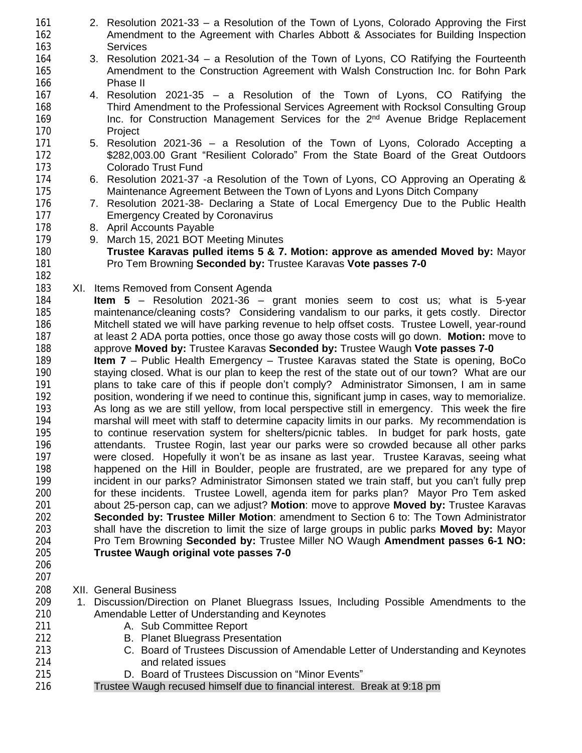- 2. Resolution 2021-33 a Resolution of the Town of Lyons, Colorado Approving the First Amendment to the Agreement with Charles Abbott & Associates for Building Inspection Services 3. Resolution 2021-34 – a Resolution of the Town of Lyons, CO Ratifying the Fourteenth Amendment to the Construction Agreement with Walsh Construction Inc. for Bohn Park 166 **Phase II**<br>167 **4. Resolutic** 4. Resolution 2021-35 – a Resolution of the Town of Lyons, CO Ratifying the Third Amendment to the Professional Services Agreement with Rocksol Consulting Group 169 **Inc.** for Construction Management Services for the 2<sup>nd</sup> Avenue Bridge Replacement Project 5. Resolution 2021-36 – a Resolution of the Town of Lyons, Colorado Accepting a **\$282,003.00 Grant "Resilient Colorado" From the State Board of the Great Outdoors**  Colorado Trust Fund 6. Resolution 2021-37 -a Resolution of the Town of Lyons, CO Approving an Operating & Maintenance Agreement Between the Town of Lyons and Lyons Ditch Company<br>176 176 17. Resolution 2021-38- Declaring a State of Local Emergency Due to the Pub 176 7. Resolution 2021-38- Declaring a State of Local Emergency Due to the Public Health<br>177 **Emergency Created by Coronavirus Emergency Created by Coronavirus**  8. April Accounts Payable 9. March 15, 2021 BOT Meeting Minutes **Trustee Karavas pulled items 5 & 7. Motion: approve as amended Moved by:** Mayor Pro Tem Browning **Seconded by:** Trustee Karavas **Vote passes 7-0** XI. Items Removed from Consent Agenda **Item 5** – Resolution 2021-36 – grant monies seem to cost us; what is 5-year 185 maintenance/cleaning costs? Considering vandalism to our parks, it gets costly. Director<br>186 Mitchell stated we will have parking revenue to help offset costs. Trustee Lowell, year-round Mitchell stated we will have parking revenue to help offset costs. Trustee Lowell, year-round at least 2 ADA porta potties, once those go away those costs will go down. **Motion:** move to approve **Moved by:** Trustee Karavas **Seconded by:** Trustee Waugh **Vote passes 7-0 Item 7** – Public Health Emergency – Trustee Karavas stated the State is opening, BoCo staying closed. What is our plan to keep the rest of the state out of our town? What are our plans to take care of this if people don't comply? Administrator Simonsen, I am in same 192 position, wondering if we need to continue this, significant jump in cases, way to memorialize.<br>193 As long as we are still yellow, from local perspective still in emergency. This week the fire As long as we are still yellow, from local perspective still in emergency. This week the fire marshal will meet with staff to determine capacity limits in our parks. My recommendation is to continue reservation system for shelters/picnic tables. In budget for park hosts, gate attendants. Trustee Rogin, last year our parks were so crowded because all other parks were closed. Hopefully it won't be as insane as last year. Trustee Karavas, seeing what 198 happened on the Hill in Boulder, people are frustrated, are we prepared for any type of 199 incident in our parks? Administrator Simonsen stated we train staff, but you can't fully prep 199 incident in our parks? Administrator Simonsen stated we train staff, but you can't fully prep<br>199 the state of the presention our formulation of the send a tem for parks plan? Mayor Pro Tem asked for these incidents. Trustee Lowell, agenda item for parks plan? Mayor Pro Tem asked about 25-person cap, can we adjust? **Motion**: move to approve **Moved by:** Trustee Karavas **Seconded by: Trustee Miller Motion**: amendment to Section 6 to: The Town Administrator shall have the discretion to limit the size of large groups in public parks **Moved by:** Mayor Pro Tem Browning **Seconded by:** Trustee Miller NO Waugh **Amendment passes 6-1 NO: Trustee Waugh original vote passes 7-0** XII. General Business
	- 1. Discussion/Direction on Planet Bluegrass Issues, Including Possible Amendments to the Amendable Letter of Understanding and Keynotes
	- **A. Sub Committee Report**
	- B. Planet Bluegrass Presentation
	- C. Board of Trustees Discussion of Amendable Letter of Understanding and Keynotes and related issues
	- D. Board of Trustees Discussion on "Minor Events"
	- Trustee Waugh recused himself due to financial interest. Break at 9:18 pm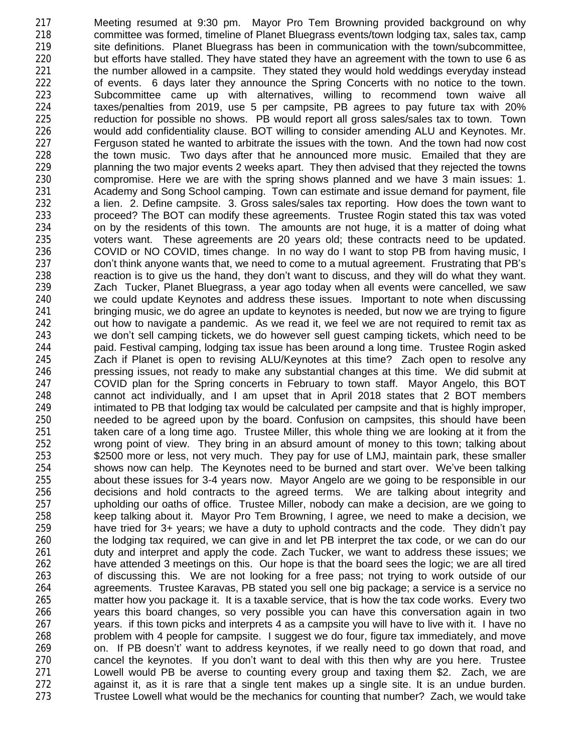Meeting resumed at 9:30 pm. Mayor Pro Tem Browning provided background on why committee was formed, timeline of Planet Bluegrass events/town lodging tax, sales tax, camp site definitions. Planet Bluegrass has been in communication with the town/subcommittee, but efforts have stalled. They have stated they have an agreement with the town to use 6 as 221 the number allowed in a campsite. They stated they would hold weddings everyday instead 222 of events. 6 days later they announce the Spring Concerts with no notice to the town.<br>223 Subcommittee came up with alternatives, willing to recommend town waive all 223 Subcommittee came up with alternatives, willing to recommend town waive all<br>224 taxes/penalties from 2019, use 5 per campsite, PB agrees to pay future tax with 20% taxes/penalties from 2019, use 5 per campsite, PB agrees to pay future tax with 20% reduction for possible no shows. PB would report all gross sales/sales tax to town. Town would add confidentiality clause. BOT willing to consider amending ALU and Keynotes. Mr. Ferguson stated he wanted to arbitrate the issues with the town. And the town had now cost 228 the town music. Two days after that he announced more music. Emailed that they are planning the two major events 2 weeks apart. They then advised that they rejected the towns compromise. Here we are with the spring shows planned and we have 3 main issues: 1. 231 Academy and Song School camping. Town can estimate and issue demand for payment, file<br>232 a lien. 2. Define campsite. 3. Gross sales/sales tax reporting. How does the town want to a lien. 2. Define campsite. 3. Gross sales/sales tax reporting. How does the town want to proceed? The BOT can modify these agreements. Trustee Rogin stated this tax was voted on by the residents of this town. The amounts are not huge, it is a matter of doing what voters want. These agreements are 20 years old; these contracts need to be updated. COVID or NO COVID, times change. In no way do I want to stop PB from having music, I don't think anyone wants that, we need to come to a mutual agreement. Frustrating that PB's 238 reaction is to give us the hand, they don't want to discuss, and they will do what they want.<br>239 Zach Tucker, Planet Bluegrass, a year ago today when all events were cancelled, we saw Zach Tucker, Planet Bluegrass, a year ago today when all events were cancelled, we saw we could update Keynotes and address these issues. Important to note when discussing bringing music, we do agree an update to keynotes is needed, but now we are trying to figure out how to navigate a pandemic. As we read it, we feel we are not required to remit tax as we don't sell camping tickets, we do however sell guest camping tickets, which need to be paid. Festival camping, lodging tax issue has been around a long time. Trustee Rogin asked Zach if Planet is open to revising ALU/Keynotes at this time? Zach open to resolve any pressing issues, not ready to make any substantial changes at this time. We did submit at COVID plan for the Spring concerts in February to town staff. Mayor Angelo, this BOT cannot act individually, and I am upset that in April 2018 states that 2 BOT members intimated to PB that lodging tax would be calculated per campsite and that is highly improper, needed to be agreed upon by the board. Confusion on campsites, this should have been taken care of a long time ago. Trustee Miller, this whole thing we are looking at it from the 252 wrong point of view. They bring in an absurd amount of money to this town; talking about 253 <br>253 S2500 more or less, not very much. They pay for use of LMJ, maintain park, these smaller 253 \$2500 more or less, not very much. They pay for use of LMJ, maintain park, these smaller<br>254 shows now can help. The Keynotes need to be burned and start over. We've been talking shows now can help. The Keynotes need to be burned and start over. We've been talking 255 about these issues for 3-4 years now. Mayor Angelo are we going to be responsible in our<br>256 decisions and hold contracts to the agreed terms. We are talking about integrity and decisions and hold contracts to the agreed terms. We are talking about integrity and upholding our oaths of office. Trustee Miller, nobody can make a decision, are we going to keep talking about it. Mayor Pro Tem Browning, I agree, we need to make a decision, we have tried for 3+ years; we have a duty to uphold contracts and the code. They didn't pay the lodging tax required, we can give in and let PB interpret the tax code, or we can do our 261 duty and interpret and apply the code. Zach Tucker, we want to address these issues; we<br>262 have attended 3 meetings on this. Our hope is that the board sees the logic; we are all tired have attended 3 meetings on this. Our hope is that the board sees the logic; we are all tired of discussing this. We are not looking for a free pass; not trying to work outside of our agreements. Trustee Karavas, PB stated you sell one big package; a service is a service no matter how you package it. It is a taxable service, that is how the tax code works. Every two years this board changes, so very possible you can have this conversation again in two years. if this town picks and interprets 4 as a campsite you will have to live with it. I have no 268 problem with 4 people for campsite. I suggest we do four, figure tax immediately, and move 269 containers 269 on. If PB doesn't' want to address keynotes, if we really need to go down that road, and cancel the keynotes. If you don't want to deal with this then why are you here. Trustee Lowell would PB be averse to counting every group and taxing them \$2. Zach, we are against it, as it is rare that a single tent makes up a single site. It is an undue burden. Trustee Lowell what would be the mechanics for counting that number? Zach, we would take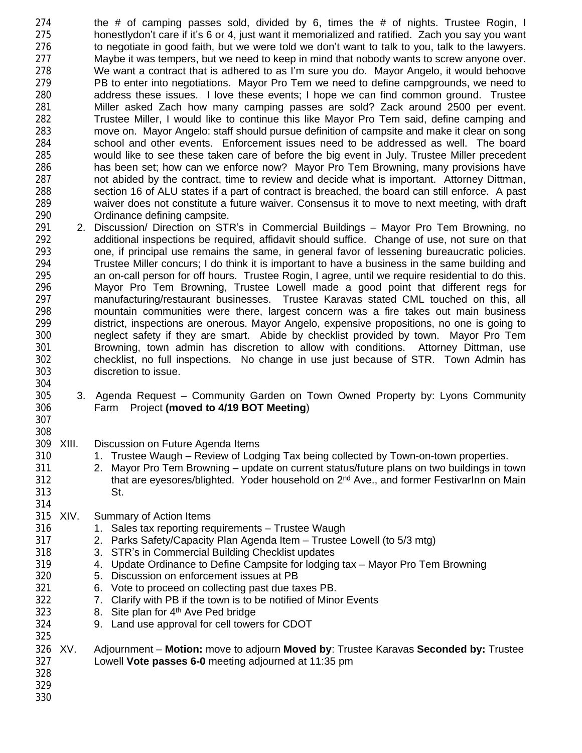the # of camping passes sold, divided by 6, times the # of nights. Trustee Rogin, I honestlydon't care if it's 6 or 4, just want it memorialized and ratified. Zach you say you want to negotiate in good faith, but we were told we don't want to talk to you, talk to the lawyers. Maybe it was tempers, but we need to keep in mind that nobody wants to screw anyone over. We want a contract that is adhered to as I'm sure you do. Mayor Angelo, it would behoove PB to enter into negotiations. Mayor Pro Tem we need to define campgrounds, we need to 280 address these issues. I love these events; I hope we can find common ground. Trustee<br>281 Miller asked Zach how many camping passes are sold? Zack around 2500 per event. Miller asked Zach how many camping passes are sold? Zack around 2500 per event. Trustee Miller, I would like to continue this like Mayor Pro Tem said, define camping and move on. Mayor Angelo: staff should pursue definition of campsite and make it clear on song school and other events. Enforcement issues need to be addressed as well. The board would like to see these taken care of before the big event in July. Trustee Miller precedent has been set; how can we enforce now? Mayor Pro Tem Browning, many provisions have not abided by the contract, time to review and decide what is important. Attorney Dittman, 288 section 16 of ALU states if a part of contract is breached, the board can still enforce. A past 289 valver does not constitute a future waiver. Consensus it to move to next meeting, with draft waiver does not constitute a future waiver. Consensus it to move to next meeting, with draft Ordinance defining campsite.

- 2. Discussion/ Direction on STR's in Commercial Buildings Mayor Pro Tem Browning, no additional inspections be required, affidavit should suffice. Change of use, not sure on that one, if principal use remains the same, in general favor of lessening bureaucratic policies. Trustee Miller concurs; I do think it is important to have a business in the same building and 295 an on-call person for off hours. Trustee Rogin, I agree, until we require residential to do this.<br>296 Mayor Pro Tem Browning, Trustee Lowell made a good point that different regs for Mayor Pro Tem Browning, Trustee Lowell made a good point that different regs for manufacturing/restaurant businesses. Trustee Karavas stated CML touched on this, all mountain communities were there, largest concern was a fire takes out main business district, inspections are onerous. Mayor Angelo, expensive propositions, no one is going to neglect safety if they are smart. Abide by checklist provided by town. Mayor Pro Tem Browning, town admin has discretion to allow with conditions. Attorney Dittman, use checklist, no full inspections. No change in use just because of STR. Town Admin has discretion to issue.
- 3. Agenda Request Community Garden on Town Owned Property by: Lyons Community Farm Project **(moved to 4/19 BOT Meeting**)
- 

- XIII. Discussion on Future Agenda Items
- 1. Trustee Waugh Review of Lodging Tax being collected by Town-on-town properties.
- 2. Mayor Pro Tem Browning update on current status/future plans on two buildings in town 312 **that are eyesores/blighted. Yoder household on 2<sup>nd</sup> Ave., and former FestivarInn on Main** St.
- XIV. Summary of Action Items
- 316 1. Sales tax reporting requirements Trustee Waugh
- 2. Parks Safety/Capacity Plan Agenda Item Trustee Lowell (to 5/3 mtg)
- 318 3. STR's in Commercial Building Checklist updates<br>319 4. Update Ordinance to Define Campsite for lodging
	- 4. Update Ordinance to Define Campsite for lodging tax Mayor Pro Tem Browning
- 5. Discussion on enforcement issues at PB
- 6. Vote to proceed on collecting past due taxes PB.
- 7. Clarify with PB if the town is to be notified of Minor Events
- 8. Site plan for 4th Ave Ped bridge
- 9. Land use approval for cell towers for CDOT
- XV. Adjournment **Motion:** move to adjourn **Moved by**: Trustee Karavas **Seconded by:** Trustee Lowell **Vote passes 6-0** meeting adjourned at 11:35 pm
-